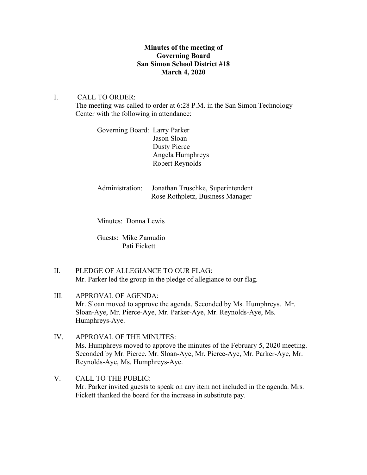## **Minutes of the meeting of Governing Board San Simon School District #18 March 4, 2020**

### I. CALL TO ORDER:

The meeting was called to order at 6:28 P.M. in the San Simon Technology Center with the following in attendance:

Governing Board: Larry Parker Jason Sloan Dusty Pierce Angela Humphreys Robert Reynolds

Administration: Jonathan Truschke, Superintendent Rose Rothpletz, Business Manager

Minutes: Donna Lewis

Guests: Mike Zamudio Pati Fickett

- II. PLEDGE OF ALLEGIANCE TO OUR FLAG: Mr. Parker led the group in the pledge of allegiance to our flag.
- III. APPROVAL OF AGENDA: Mr. Sloan moved to approve the agenda. Seconded by Ms. Humphreys. Mr. Sloan-Aye, Mr. Pierce-Aye, Mr. Parker-Aye, Mr. Reynolds-Aye, Ms. Humphreys-Aye.
- IV. APPROVAL OF THE MINUTES: Ms. Humphreys moved to approve the minutes of the February 5, 2020 meeting. Seconded by Mr. Pierce. Mr. Sloan-Aye, Mr. Pierce-Aye, Mr. Parker-Aye, Mr. Reynolds-Aye, Ms. Humphreys-Aye.
- V. CALL TO THE PUBLIC: Mr. Parker invited guests to speak on any item not included in the agenda. Mrs. Fickett thanked the board for the increase in substitute pay.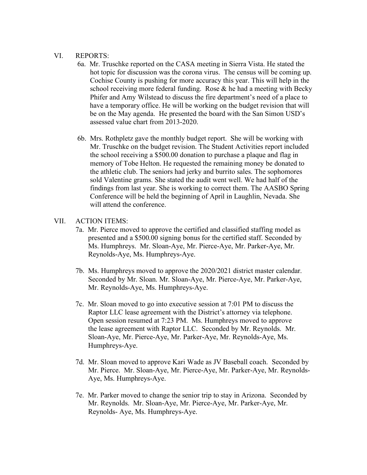#### VI. REPORTS:

- 6a. Mr. Truschke reported on the CASA meeting in Sierra Vista. He stated the hot topic for discussion was the corona virus. The census will be coming up. Cochise County is pushing for more accuracy this year. This will help in the school receiving more federal funding. Rose & he had a meeting with Becky Phifer and Amy Wilstead to discuss the fire department's need of a place to have a temporary office. He will be working on the budget revision that will be on the May agenda. He presented the board with the San Simon USD's assessed value chart from 2013-2020.
- 6b. Mrs. Rothpletz gave the monthly budget report. She will be working with Mr. Truschke on the budget revision. The Student Activities report included the school receiving a \$500.00 donation to purchase a plaque and flag in memory of Tobe Helton. He requested the remaining money be donated to the athletic club. The seniors had jerky and burrito sales. The sophomores sold Valentine grams. She stated the audit went well. We had half of the findings from last year. She is working to correct them. The AASBO Spring Conference will be held the beginning of April in Laughlin, Nevada. She will attend the conference.

## VII. ACTION ITEMS:

- 7a. Mr. Pierce moved to approve the certified and classified staffing model as presented and a \$500.00 signing bonus for the certified staff. Seconded by Ms. Humphreys. Mr. Sloan-Aye, Mr. Pierce-Aye, Mr. Parker-Aye, Mr. Reynolds-Aye, Ms. Humphreys-Aye.
- 7b. Ms. Humphreys moved to approve the 2020/2021 district master calendar. Seconded by Mr. Sloan. Mr. Sloan-Aye, Mr. Pierce-Aye, Mr. Parker-Aye, Mr. Reynolds-Aye, Ms. Humphreys-Aye.
- 7c. Mr. Sloan moved to go into executive session at 7:01 PM to discuss the Raptor LLC lease agreement with the District's attorney via telephone. Open session resumed at 7:23 PM. Ms. Humphreys moved to approve the lease agreement with Raptor LLC. Seconded by Mr. Reynolds. Mr. Sloan-Aye, Mr. Pierce-Aye, Mr. Parker-Aye, Mr. Reynolds-Aye, Ms. Humphreys-Aye.
- 7d. Mr. Sloan moved to approve Kari Wade as JV Baseball coach. Seconded by Mr. Pierce. Mr. Sloan-Aye, Mr. Pierce-Aye, Mr. Parker-Aye, Mr. Reynolds- Aye, Ms. Humphreys-Aye.
- 7e. Mr. Parker moved to change the senior trip to stay in Arizona. Seconded by Mr. Reynolds. Mr. Sloan-Aye, Mr. Pierce-Aye, Mr. Parker-Aye, Mr. Reynolds- Aye, Ms. Humphreys-Aye.